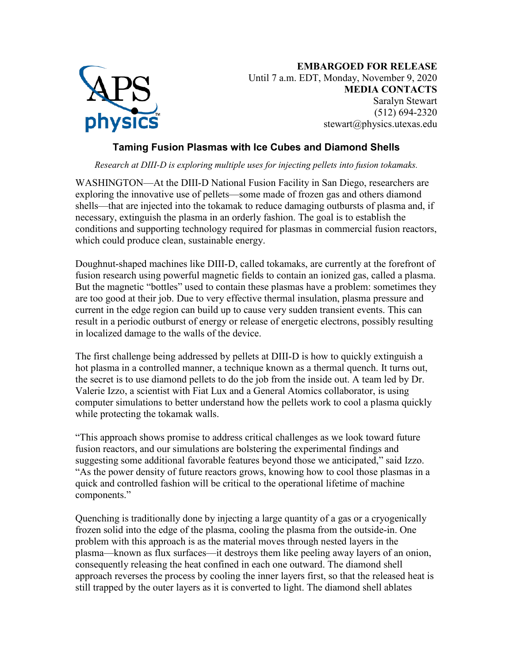

**EMBARGOED FOR RELEASE** Until 7 a.m. EDT, Monday, November 9, 2020 **MEDIA CONTACTS** Saralyn Stewart (512) 694-2320 stewart@physics.utexas.edu

## **Taming Fusion Plasmas with Ice Cubes and Diamond Shells**

*Research at DIII-D is exploring multiple uses for injecting pellets into fusion tokamaks.*

WASHINGTON—At the DIII-D National Fusion Facility in San Diego, researchers are exploring the innovative use of pellets—some made of frozen gas and others diamond shells—that are injected into the tokamak to reduce damaging outbursts of plasma and, if necessary, extinguish the plasma in an orderly fashion. The goal is to establish the conditions and supporting technology required for plasmas in commercial fusion reactors, which could produce clean, sustainable energy.

Doughnut-shaped machines like DIII-D, called tokamaks, are currently at the forefront of fusion research using powerful magnetic fields to contain an ionized gas, called a plasma. But the magnetic "bottles" used to contain these plasmas have a problem: sometimes they are too good at their job. Due to very effective thermal insulation, plasma pressure and current in the edge region can build up to cause very sudden transient events. This can result in a periodic outburst of energy or release of energetic electrons, possibly resulting in localized damage to the walls of the device.

The first challenge being addressed by pellets at DIII-D is how to quickly extinguish a hot plasma in a controlled manner, a technique known as a thermal quench. It turns out, the secret is to use diamond pellets to do the job from the inside out. A team led by Dr. Valerie Izzo, a scientist with Fiat Lux and a General Atomics collaborator, is using computer simulations to better understand how the pellets work to cool a plasma quickly while protecting the tokamak walls.

"This approach shows promise to address critical challenges as we look toward future fusion reactors, and our simulations are bolstering the experimental findings and suggesting some additional favorable features beyond those we anticipated," said Izzo. "As the power density of future reactors grows, knowing how to cool those plasmas in a quick and controlled fashion will be critical to the operational lifetime of machine components."

Quenching is traditionally done by injecting a large quantity of a gas or a cryogenically frozen solid into the edge of the plasma, cooling the plasma from the outside-in. One problem with this approach is as the material moves through nested layers in the plasma—known as flux surfaces—it destroys them like peeling away layers of an onion, consequently releasing the heat confined in each one outward. The diamond shell approach reverses the process by cooling the inner layers first, so that the released heat is still trapped by the outer layers as it is converted to light. The diamond shell ablates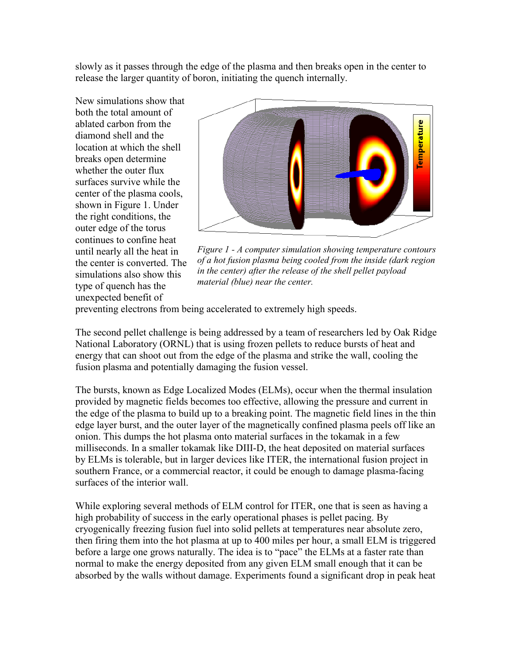slowly as it passes through the edge of the plasma and then breaks open in the center to release the larger quantity of boron, initiating the quench internally.

New simulations show that both the total amount of ablated carbon from the diamond shell and the location at which the shell breaks open determine whether the outer flux surfaces survive while the center of the plasma cools, shown in Figure 1. Under the right conditions, the outer edge of the torus continues to confine heat until nearly all the heat in the center is converted. The simulations also show this type of quench has the unexpected benefit of



*Figure 1 - A computer simulation showing temperature contours of a hot fusion plasma being cooled from the inside (dark region in the center) after the release of the shell pellet payload material (blue) near the center.*

preventing electrons from being accelerated to extremely high speeds.

The second pellet challenge is being addressed by a team of researchers led by Oak Ridge National Laboratory (ORNL) that is using frozen pellets to reduce bursts of heat and energy that can shoot out from the edge of the plasma and strike the wall, cooling the fusion plasma and potentially damaging the fusion vessel.

The bursts, known as Edge Localized Modes (ELMs), occur when the thermal insulation provided by magnetic fields becomes too effective, allowing the pressure and current in the edge of the plasma to build up to a breaking point. The magnetic field lines in the thin edge layer burst, and the outer layer of the magnetically confined plasma peels off like an onion. This dumps the hot plasma onto material surfaces in the tokamak in a few milliseconds. In a smaller tokamak like DIII-D, the heat deposited on material surfaces by ELMs is tolerable, but in larger devices like ITER, the international fusion project in southern France, or a commercial reactor, it could be enough to damage plasma-facing surfaces of the interior wall.

While exploring several methods of ELM control for ITER, one that is seen as having a high probability of success in the early operational phases is pellet pacing. By cryogenically freezing fusion fuel into solid pellets at temperatures near absolute zero, then firing them into the hot plasma at up to 400 miles per hour, a small ELM is triggered before a large one grows naturally. The idea is to "pace" the ELMs at a faster rate than normal to make the energy deposited from any given ELM small enough that it can be absorbed by the walls without damage. Experiments found a significant drop in peak heat